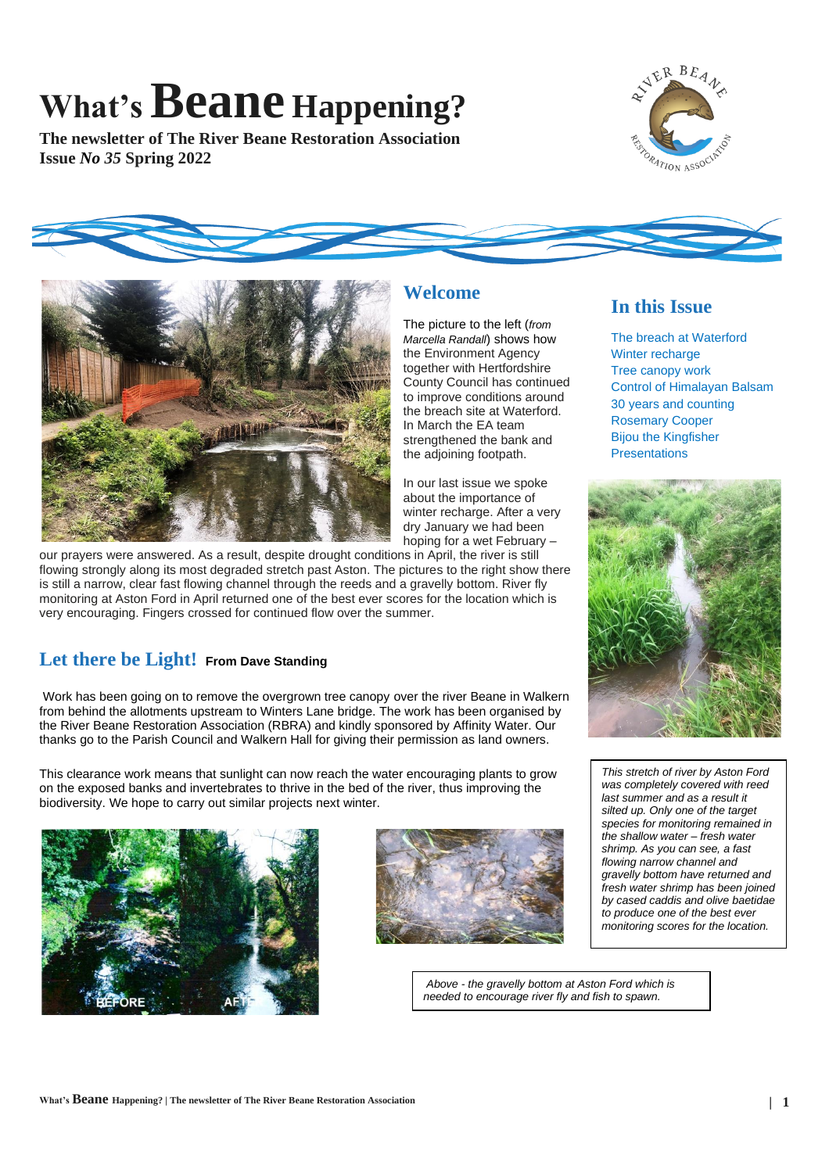# **What'sBeane Happening?**

**The newsletter of The River Beane Restoration Association Issue** *No 35* **Spring 2022**



**In this Issue**

Winter recharge Tree canopy work

The breach at Waterford

Control of Himalayan Balsam 30 years and counting Rosemary Cooper Bijou the Kingfisher **Presentations** 





**Welcome**

County Council has continued to improve conditions around the breach site at Waterford. In March the EA team strengthened the bank and the adjoining footpath.

In our last issue we spoke about the importance of winter recharge. After a very dry January we had been hoping for a wet February –

our prayers were answered. As a result, despite drought conditions in April, the river is still flowing strongly along its most degraded stretch past Aston. The pictures to the right show there is still a narrow, clear fast flowing channel through the reeds and a gravelly bottom. River fly monitoring at Aston Ford in April returned one of the best ever scores for the location which is very encouraging. Fingers crossed for continued flow over the summer.

## **Let there be Light! From Dave Standing**

Work has been going on to remove the overgrown tree canopy over the river Beane in Walkern from behind the allotments upstream to Winters Lane bridge. The work has been organised by the River Beane Restoration Association (RBRA) and kindly sponsored by Affinity Water. Our thanks go to the Parish Council and Walkern Hall for giving their permission as land owners.

This clearance work means that sunlight can now reach the water encouraging plants to grow on the exposed banks and invertebrates to thrive in the bed of the river, thus improving the biodiversity. We hope to carry out similar projects next winter.





*This stretch of river by Aston Ford was completely covered with reed last summer and as a result it silted up. Only one of the target species for monitoring remained in the shallow water – fresh water shrimp. As you can see, a fast flowing narrow channel and gravelly bottom have returned and fresh water shrimp has been joined by cased caddis and olive baetidae to produce one of the best ever monitoring scores for the location.*

*Above - the gravelly bottom at Aston Ford which is needed to encourage river fly and fish to spawn.*

#### The picture to the left (*from Marcella Randall*) shows how the Environment Agency together with Hertfordshire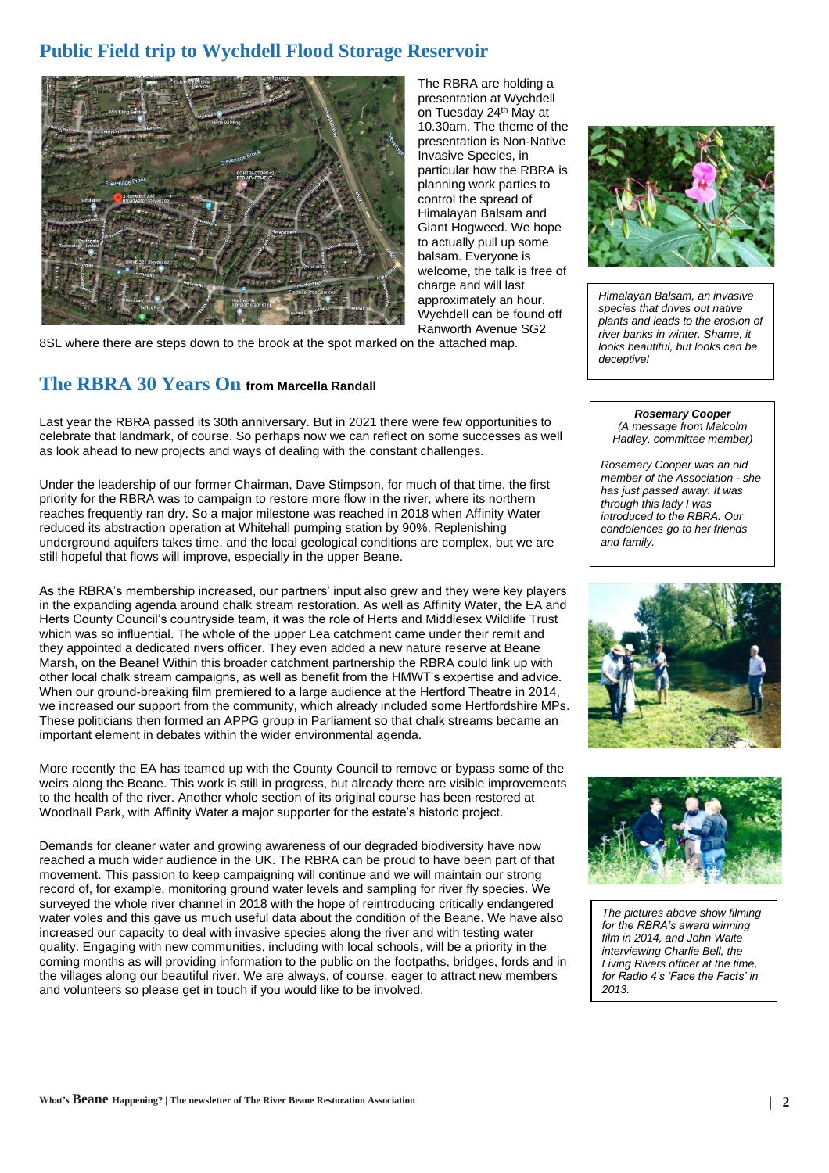# **Public Field trip to Wychdell Flood Storage Reservoir**



The RBRA are holding a presentation at Wychdell on Tuesday 24<sup>th</sup> May at 10.30am. The theme of the presentation is Non-Native Invasive Species, in particular how the RBRA is planning work parties to control the spread of Himalayan Balsam and Giant Hogweed. We hope to actually pull up some balsam. Everyone is welcome, the talk is free of charge and will last approximately an hour. Wychdell can be found off Ranworth Avenue SG2

8SL where there are steps down to the brook at the spot marked on the attached map.

### **The RBRA 30 Years On from Marcella Randall**

Last year the RBRA passed its 30th anniversary. But in 2021 there were few opportunities to celebrate that landmark, of course. So perhaps now we can reflect on some successes as well as look ahead to new projects and ways of dealing with the constant challenges.

Under the leadership of our former Chairman, Dave Stimpson, for much of that time, the first priority for the RBRA was to campaign to restore more flow in the river, where its northern reaches frequently ran dry. So a major milestone was reached in 2018 when Affinity Water reduced its abstraction operation at Whitehall pumping station by 90%. Replenishing underground aquifers takes time, and the local geological conditions are complex, but we are still hopeful that flows will improve, especially in the upper Beane.

As the RBRA's membership increased, our partners' input also grew and they were key players in the expanding agenda around chalk stream restoration. As well as Affinity Water, the EA and Herts County Council's countryside team, it was the role of Herts and Middlesex Wildlife Trust which was so influential. The whole of the upper Lea catchment came under their remit and they appointed a dedicated rivers officer. They even added a new nature reserve at Beane Marsh, on the Beane! Within this broader catchment partnership the RBRA could link up with other local chalk stream campaigns, as well as benefit from the HMWT's expertise and advice. When our ground-breaking film premiered to a large audience at the Hertford Theatre in 2014, we increased our support from the community, which already included some Hertfordshire MPs. These politicians then formed an APPG group in Parliament so that chalk streams became an important element in debates within the wider environmental agenda.

More recently the EA has teamed up with the County Council to remove or bypass some of the weirs along the Beane. This work is still in progress, but already there are visible improvements to the health of the river. Another whole section of its original course has been restored at Woodhall Park, with Affinity Water a major supporter for the estate's historic project.

Demands for cleaner water and growing awareness of our degraded biodiversity have now reached a much wider audience in the UK. The RBRA can be proud to have been part of that movement. This passion to keep campaigning will continue and we will maintain our strong record of, for example, monitoring ground water levels and sampling for river fly species. We surveyed the whole river channel in 2018 with the hope of reintroducing critically endangered water voles and this gave us much useful data about the condition of the Beane. We have also increased our capacity to deal with invasive species along the river and with testing water quality. Engaging with new communities, including with local schools, will be a priority in the coming months as will providing information to the public on the footpaths, bridges, fords and in the villages along our beautiful river. We are always, of course, eager to attract new members and volunteers so please get in touch if you would like to be involved.



*Himalayan Balsam, an invasive species that drives out native plants and leads to the erosion of river banks in winter. Shame, it looks beautiful, but looks can be deceptive!*

#### *Rosemary Cooper (A message from Malcolm Hadley, committee member)*

*Rosemary Cooper was an old member of the Association - she has just passed away. It was through this lady I was introduced to the RBRA. Our condolences go to her friends and family.* 





*The pictures above show filming for the RBRA's award winning film in 2014, and John Waite interviewing Charlie Bell, the Living Rivers officer at the time, for Radio 4's 'Face the Facts' in 2013.*